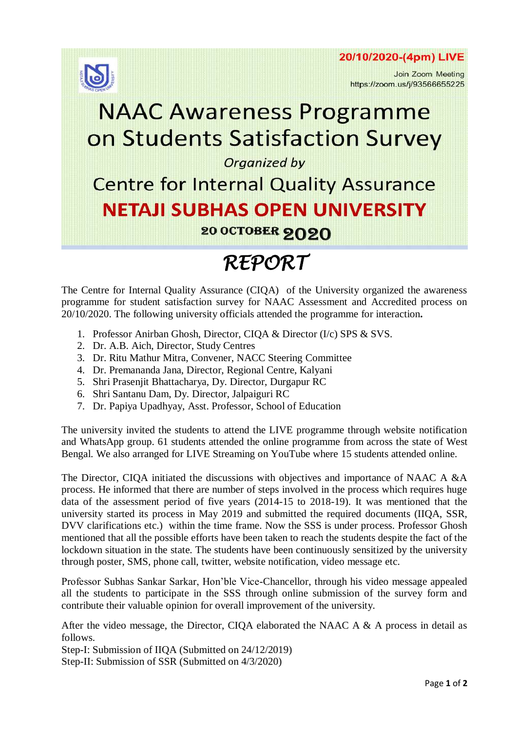



Join Zoom Meeting https://zoom.us/j/93566655225

# **NAAC Awareness Programme** on Students Satisfaction Survey

#### Organized by

### **Centre for Internal Quality Assurance NETAJI SUBHAS OPEN UNIVERSITY** 20 OCTOBER 2020

## *REPORT*

The Centre for Internal Quality Assurance (CIQA) of the University organized the awareness programme for student satisfaction survey for NAAC Assessment and Accredited process on 20/10/2020. The following university officials attended the programme for interaction**.**

- 1. Professor Anirban Ghosh, Director, CIQA & Director (I/c) SPS & SVS.
- 2. Dr. A.B. Aich, Director, Study Centres
- 3. Dr. Ritu Mathur Mitra, Convener, NACC Steering Committee
- 4. Dr. Premananda Jana, Director, Regional Centre, Kalyani
- 5. Shri Prasenjit Bhattacharya, Dy. Director, Durgapur RC
- 6. Shri Santanu Dam, Dy. Director, Jalpaiguri RC
- 7. Dr. Papiya Upadhyay, Asst. Professor, School of Education

The university invited the students to attend the LIVE programme through website notification and WhatsApp group. 61 students attended the online programme from across the state of West Bengal. We also arranged for LIVE Streaming on YouTube where 15 students attended online.

The Director, CIQA initiated the discussions with objectives and importance of NAAC A &A process. He informed that there are number of steps involved in the process which requires huge data of the assessment period of five years (2014-15 to 2018-19). It was mentioned that the university started its process in May 2019 and submitted the required documents (IIQA, SSR, DVV clarifications etc.) within the time frame. Now the SSS is under process. Professor Ghosh mentioned that all the possible efforts have been taken to reach the students despite the fact of the lockdown situation in the state. The students have been continuously sensitized by the university through poster, SMS, phone call, twitter, website notification, video message etc.

Professor Subhas Sankar Sarkar, Hon'ble Vice-Chancellor, through his video message appealed all the students to participate in the SSS through online submission of the survey form and contribute their valuable opinion for overall improvement of the university.

After the video message, the Director, CIQA elaborated the NAAC A & A process in detail as follows.

Step-I: Submission of IIQA (Submitted on 24/12/2019) Step-II: Submission of SSR (Submitted on 4/3/2020)